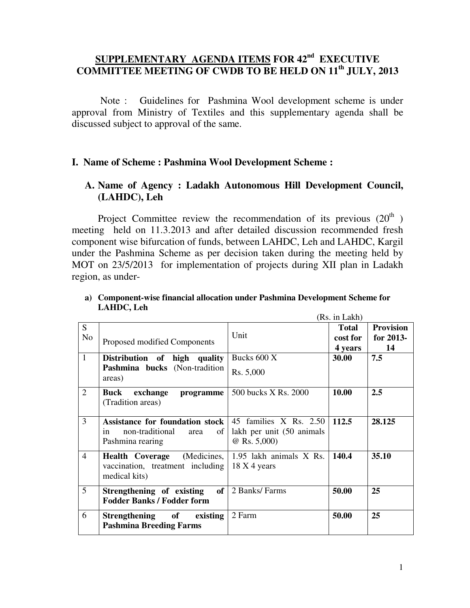# **SUPPLEMENTARY AGENDA ITEMS FOR 42nd EXECUTIVE COMMITTEE MEETING OF CWDB TO BE HELD ON 11th JULY, 2013**

 Note : Guidelines for Pashmina Wool development scheme is under approval from Ministry of Textiles and this supplementary agenda shall be discussed subject to approval of the same.

## **I. Name of Scheme : Pashmina Wool Development Scheme :**

## **A. Name of Agency : Ladakh Autonomous Hill Development Council, (LAHDC), Leh**

Project Committee review the recommendation of its previous  $(20<sup>th</sup>)$ meeting held on 11.3.2013 and after detailed discussion recommended fresh component wise bifurcation of funds, between LAHDC, Leh and LAHDC, Kargil under the Pashmina Scheme as per decision taken during the meeting held by MOT on 23/5/2013 for implementation of projects during XII plan in Ladakh region, as under-

|                |                                                                                                                                     |                                             | (Rs. in Lakh)                       |                                     |
|----------------|-------------------------------------------------------------------------------------------------------------------------------------|---------------------------------------------|-------------------------------------|-------------------------------------|
| S<br>No        | Proposed modified Components                                                                                                        | Unit                                        | <b>Total</b><br>cost for<br>4 years | <b>Provision</b><br>for 2013-<br>14 |
| $\mathbf{1}$   | Distribution of high quality<br>Pashmina bucks (Non-tradition<br>areas)                                                             | Bucks 600 X<br>Rs. 5,000                    | 30.00                               | 7.5                                 |
| 2              | Buck<br>exchange<br>programme<br>(Tradition areas)                                                                                  | 500 bucks X Rs. 2000                        | 10.00                               | 2.5                                 |
| 3              | <b>Assistance for foundation stock</b> $\vert$ 45 families X Rs. 2.50<br>non-traditional<br>of 1<br>area<br>in.<br>Pashmina rearing | lakh per unit (50 animals<br>$@$ Rs. 5,000) | 112.5                               | 28.125                              |
| $\overline{A}$ | (Medicines,<br><b>Health Coverage</b><br>vaccination, treatment including<br>medical kits)                                          | 1.95 lakh animals X Rs.<br>18 X 4 years     | 140.4                               | 35.10                               |
| 5              | Strengthening of existing<br>of  <br><b>Fodder Banks / Fodder form</b>                                                              | 2 Banks/ Farms                              | 50.00                               | 25                                  |
| 6              | Strengthening of<br>existing<br><b>Pashmina Breeding Farms</b>                                                                      | 2 Farm                                      | 50.00                               | 25                                  |

#### **a) Component-wise financial allocation under Pashmina Development Scheme for LAHDC, Leh**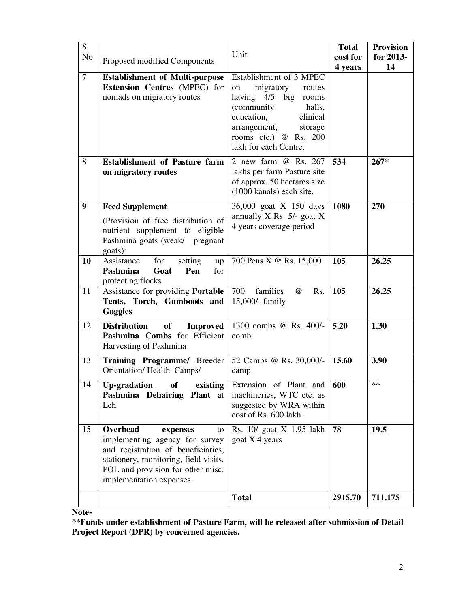| S<br>N <sub>o</sub> | Proposed modified Components                                                                                                                                                                                 | Unit                                                                                                                                                                                                                 | <b>Total</b><br>cost for<br>4 years | <b>Provision</b><br>for 2013-<br>14 |
|---------------------|--------------------------------------------------------------------------------------------------------------------------------------------------------------------------------------------------------------|----------------------------------------------------------------------------------------------------------------------------------------------------------------------------------------------------------------------|-------------------------------------|-------------------------------------|
| $\tau$              | <b>Establishment of Multi-purpose</b><br><b>Extension Centres (MPEC) for</b><br>nomads on migratory routes                                                                                                   | Establishment of 3 MPEC<br>migratory<br>on<br>routes<br>having $4/5$<br>big<br>rooms<br>(community)<br>halls,<br>education,<br>clinical<br>arrangement,<br>storage<br>rooms etc.) @ Rs. 200<br>lakh for each Centre. |                                     |                                     |
| 8                   | <b>Establishment of Pasture farm</b><br>on migratory routes                                                                                                                                                  | $\overline{2}$ new farm $\omega$ Rs. 267<br>lakhs per farm Pasture site<br>of approx. 50 hectares size<br>(1000 kanals) each site.                                                                                   | 534                                 | $267*$                              |
| 9                   | <b>Feed Supplement</b><br>(Provision of free distribution of<br>nutrient supplement to eligible<br>Pashmina goats (weak/ pregnant<br>goats):                                                                 | 36,000 goat X 150 days<br>annually $X$ Rs. 5/- goat $X$<br>4 years coverage period                                                                                                                                   | 1080                                | 270                                 |
| 10                  | Assistance<br>for<br>setting<br>up<br>Pashmina<br>Goat<br>Pen<br>for<br>protecting flocks                                                                                                                    | 700 Pens X @ Rs. 15,000                                                                                                                                                                                              | 105                                 | 26.25                               |
| 11                  | Assistance for providing Portable<br>Tents, Torch, Gumboots and<br>Goggles                                                                                                                                   | 700<br>families<br>$\omega$<br>Rs.<br>15,000/- family                                                                                                                                                                | 105                                 | 26.25                               |
| 12                  | <b>Distribution</b><br><b>of</b><br><b>Improved</b><br>Pashmina Combs for Efficient<br>Harvesting of Pashmina                                                                                                | 1300 combs @ Rs. 400/-<br>comb                                                                                                                                                                                       | 5.20                                | 1.30                                |
| 13                  | Training Programme/ Breeder<br>Orientation/Health Camps/                                                                                                                                                     | 52 Camps @ Rs. 30,000/-<br>camp                                                                                                                                                                                      | 15.60                               | 3.90                                |
| 14                  | Up-gradation of<br>existing<br>Pashmina Dehairing Plant at<br>Leh                                                                                                                                            | Extension of Plant and<br>machineries, WTC etc. as<br>suggested by WRA within<br>cost of Rs. 600 lakh.                                                                                                               | 600                                 | $***$                               |
| 15                  | Overhead<br>expenses<br>to<br>implementing agency for survey<br>and registration of beneficiaries,<br>stationery, monitoring, field visits,<br>POL and provision for other misc.<br>implementation expenses. | Rs. 10/ goat X 1.95 lakh<br>goat $X$ 4 years                                                                                                                                                                         | 78                                  | 19.5                                |
|                     |                                                                                                                                                                                                              | <b>Total</b>                                                                                                                                                                                                         | 2915.70                             | 711.175                             |

**Note-** 

**\*\*Funds under establishment of Pasture Farm, will be released after submission of Detail Project Report (DPR) by concerned agencies.**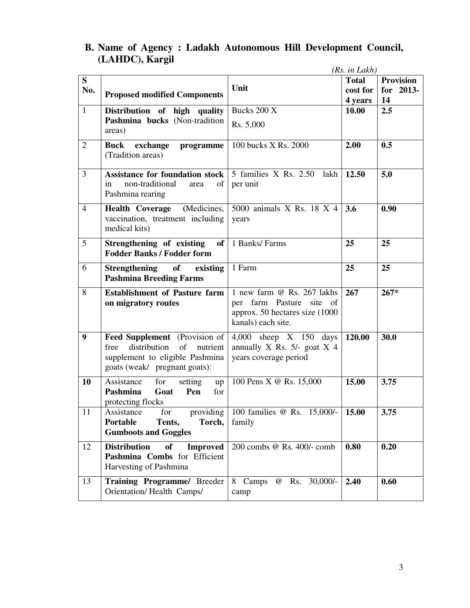### **B. Name of Agency : Ladakh Autonomous Hill Development Council, (LAHDC), Kargil**  *(Rs. in Lakh)*

|                |                                                                                                                                             |                                                                                                                 | (KS. IN LAKN)       |                  |
|----------------|---------------------------------------------------------------------------------------------------------------------------------------------|-----------------------------------------------------------------------------------------------------------------|---------------------|------------------|
| S              |                                                                                                                                             | Unit                                                                                                            | <b>Total</b>        | <b>Provision</b> |
| No.            | <b>Proposed modified Components</b>                                                                                                         |                                                                                                                 | cost for<br>4 years | for 2013-<br>14  |
| $\mathbf{1}$   | Distribution of high quality                                                                                                                | Bucks 200 X                                                                                                     | 10.00               | 2.5              |
|                | Pashmina bucks (Non-tradition<br>areas)                                                                                                     | Rs. 5,000                                                                                                       |                     |                  |
| $\overline{2}$ | Buck exchange<br>programme<br>(Tradition areas)                                                                                             | 100 bucks X Rs. 2000                                                                                            | 2.00                | 0.5              |
| 3              | <b>Assistance for foundation stock</b><br>non-traditional<br>in<br>of<br>area<br>Pashmina rearing                                           | 5 families X Rs. 2.50<br>lakh<br>per unit                                                                       | 12.50               | 5.0              |
| $\overline{4}$ | (Medicines,<br><b>Health Coverage</b><br>vaccination, treatment including<br>medical kits)                                                  | 5000 animals X Rs. 18 X 4<br>years                                                                              | 3.6                 | 0.90             |
| 5              | Strengthening of existing<br>of<br><b>Fodder Banks / Fodder form</b>                                                                        | 1 Banks/ Farms                                                                                                  | 25                  | 25               |
| 6              | Strengthening of<br>existing<br><b>Pashmina Breeding Farms</b>                                                                              | 1 Farm                                                                                                          | 25                  | 25               |
| 8              | <b>Establishment of Pasture farm</b><br>on migratory routes                                                                                 | 1 new farm @ Rs. 267 lakhs<br>per farm Pasture site of<br>approx. 50 hectares size (1000)<br>kanals) each site. | 267                 | $267*$           |
| 9              | Feed Supplement (Provision of<br>distribution<br>of<br>free<br>nutrient<br>supplement to eligible Pashmina<br>goats (weak/ pregnant goats): | $4,000$ sheep X 150 days<br>annually X Rs. $5/-$ goat X 4<br>years coverage period                              | 120.00              | 30.0             |
| 10             | Assistance<br>for<br>setting<br>up<br>Pashmina<br>Goat<br>Pen<br>for<br>protecting flocks                                                   | 100 Pens X @ Rs. 15,000                                                                                         | 15.00               | 3.75             |
| 11             | Assistance<br>for<br>Torch,<br>Portable<br>Tents,<br><b>Gumboots and Goggles</b>                                                            | providing   100 families @ Rs. $15,000$ $\sqrt{15.00}$<br>family                                                |                     | 3.75             |
| 12             | <b>Distribution</b><br><b>of</b><br><b>Improved</b><br>Pashmina Combs for Efficient<br>Harvesting of Pashmina                               | 200 combs @ Rs. 400/- comb                                                                                      | 0.80                | 0.20             |
| 13             | Training Programme/ Breeder<br>Orientation/Health Camps/                                                                                    | 8 Camps @ Rs. 30,000/-<br>camp                                                                                  | 2.40                | 0.60             |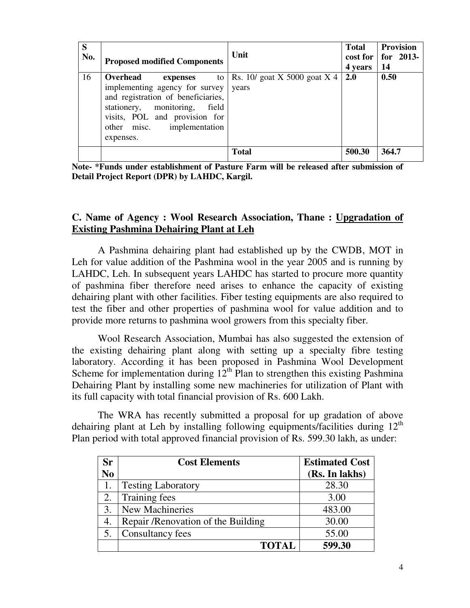| S<br>No. | <b>Proposed modified Components</b>                                                                                                                                                                                   | Unit                                    | <b>Total</b><br>4 years | <b>Provision</b><br>$\cos t$ for   for 2013-<br>14 |
|----------|-----------------------------------------------------------------------------------------------------------------------------------------------------------------------------------------------------------------------|-----------------------------------------|-------------------------|----------------------------------------------------|
| 16       | Overhead<br>to<br>expenses<br>implementing agency for survey<br>and registration of beneficiaries,<br>stationery, monitoring,<br>field<br>visits, POL and provision for<br>other misc.<br>implementation<br>expenses. | Rs. $10/$ goat X 5000 goat X 4<br>years | 2.0                     | 0.50                                               |
|          |                                                                                                                                                                                                                       | <b>Total</b>                            | 500.30                  | 364.7                                              |

**Note- \*Funds under establishment of Pasture Farm will be released after submission of Detail Project Report (DPR) by LAHDC, Kargil.** 

## **C. Name of Agency : Wool Research Association, Thane : Upgradation of Existing Pashmina Dehairing Plant at Leh**

 A Pashmina dehairing plant had established up by the CWDB, MOT in Leh for value addition of the Pashmina wool in the year 2005 and is running by LAHDC, Leh. In subsequent years LAHDC has started to procure more quantity of pashmina fiber therefore need arises to enhance the capacity of existing dehairing plant with other facilities. Fiber testing equipments are also required to test the fiber and other properties of pashmina wool for value addition and to provide more returns to pashmina wool growers from this specialty fiber.

 Wool Research Association, Mumbai has also suggested the extension of the existing dehairing plant along with setting up a specialty fibre testing laboratory. According it has been proposed in Pashmina Wool Development Scheme for implementation during  $12^{th}$  Plan to strengthen this existing Pashmina Dehairing Plant by installing some new machineries for utilization of Plant with its full capacity with total financial provision of Rs. 600 Lakh.

 The WRA has recently submitted a proposal for up gradation of above dehairing plant at Leh by installing following equipments/facilities during  $12<sup>th</sup>$ Plan period with total approved financial provision of Rs. 599.30 lakh, as under:

| <b>Sr</b>      | <b>Cost Elements</b>                | <b>Estimated Cost</b> |
|----------------|-------------------------------------|-----------------------|
| N <sub>0</sub> |                                     | (Rs. In lakhs)        |
|                | <b>Testing Laboratory</b>           | 28.30                 |
| 2.             | Training fees                       | 3.00                  |
| 3.             | New Machineries                     | 483.00                |
| 4.             | Repair / Renovation of the Building | 30.00                 |
| 5.             | Consultancy fees                    | 55.00                 |
|                | <b>TOTAL</b>                        | 599.30                |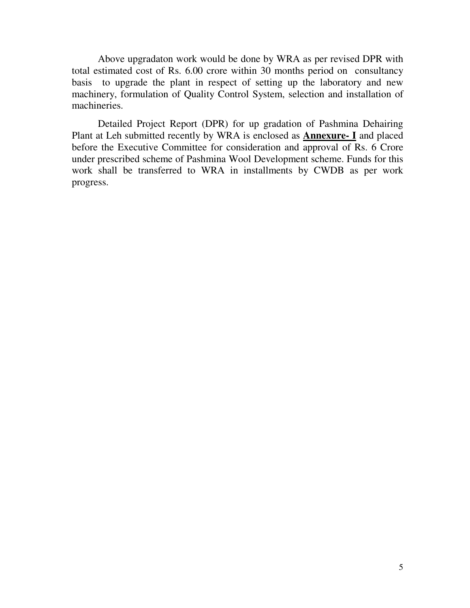Above upgradaton work would be done by WRA as per revised DPR with total estimated cost of Rs. 6.00 crore within 30 months period on consultancy basis to upgrade the plant in respect of setting up the laboratory and new machinery, formulation of Quality Control System, selection and installation of machineries.

 Detailed Project Report (DPR) for up gradation of Pashmina Dehairing Plant at Leh submitted recently by WRA is enclosed as **Annexure- I** and placed before the Executive Committee for consideration and approval of Rs. 6 Crore under prescribed scheme of Pashmina Wool Development scheme. Funds for this work shall be transferred to WRA in installments by CWDB as per work progress.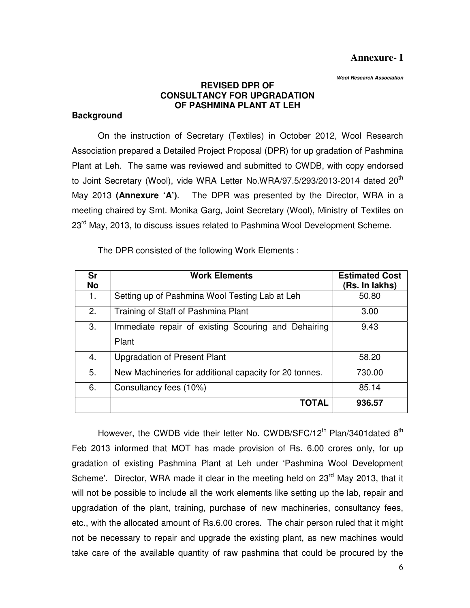## **Annexure- I**

 **Wool Research Association** 

## **REVISED DPR OF CONSULTANCY FOR UPGRADATION OF PASHMINA PLANT AT LEH**

## **Background**

 On the instruction of Secretary (Textiles) in October 2012, Wool Research Association prepared a Detailed Project Proposal (DPR) for up gradation of Pashmina Plant at Leh. The same was reviewed and submitted to CWDB, with copy endorsed to Joint Secretary (Wool), vide WRA Letter No.WRA/97.5/293/2013-2014 dated 20<sup>th</sup> May 2013 **(Annexure 'A')**. The DPR was presented by the Director, WRA in a meeting chaired by Smt. Monika Garg, Joint Secretary (Wool), Ministry of Textiles on 23<sup>rd</sup> May, 2013, to discuss issues related to Pashmina Wool Development Scheme.

The DPR consisted of the following Work Elements :

| Sr<br><b>No</b> | <b>Work Elements</b>                                         | <b>Estimated Cost</b><br>(Rs. In lakhs) |
|-----------------|--------------------------------------------------------------|-----------------------------------------|
| 1.              | Setting up of Pashmina Wool Testing Lab at Leh               | 50.80                                   |
| 2.              | Training of Staff of Pashmina Plant                          | 3.00                                    |
| 3.              | Immediate repair of existing Scouring and Dehairing<br>Plant | 9.43                                    |
| 4.              | Upgradation of Present Plant                                 | 58.20                                   |
| 5.              | New Machineries for additional capacity for 20 tonnes.       | 730.00                                  |
| 6.              | Consultancy fees (10%)                                       | 85.14                                   |
|                 | <b>TOTAL</b>                                                 | 936.57                                  |

However, the CWDB vide their letter No. CWDB/SFC/12<sup>th</sup> Plan/3401dated  $8<sup>th</sup>$ Feb 2013 informed that MOT has made provision of Rs. 6.00 crores only, for up gradation of existing Pashmina Plant at Leh under 'Pashmina Wool Development Scheme'. Director, WRA made it clear in the meeting held on 23<sup>rd</sup> May 2013, that it will not be possible to include all the work elements like setting up the lab, repair and upgradation of the plant, training, purchase of new machineries, consultancy fees, etc., with the allocated amount of Rs.6.00 crores. The chair person ruled that it might not be necessary to repair and upgrade the existing plant, as new machines would take care of the available quantity of raw pashmina that could be procured by the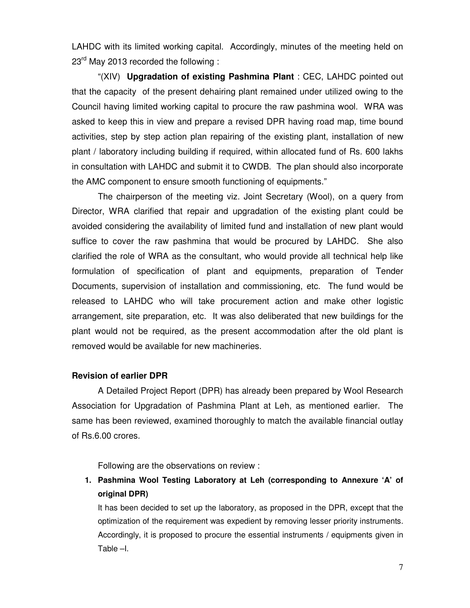LAHDC with its limited working capital. Accordingly, minutes of the meeting held on  $23<sup>rd</sup>$  May 2013 recorded the following :

"(XIV) **Upgradation of existing Pashmina Plant** : CEC, LAHDC pointed out that the capacity of the present dehairing plant remained under utilized owing to the Council having limited working capital to procure the raw pashmina wool. WRA was asked to keep this in view and prepare a revised DPR having road map, time bound activities, step by step action plan repairing of the existing plant, installation of new plant / laboratory including building if required, within allocated fund of Rs. 600 lakhs in consultation with LAHDC and submit it to CWDB. The plan should also incorporate the AMC component to ensure smooth functioning of equipments."

 The chairperson of the meeting viz. Joint Secretary (Wool), on a query from Director, WRA clarified that repair and upgradation of the existing plant could be avoided considering the availability of limited fund and installation of new plant would suffice to cover the raw pashmina that would be procured by LAHDC. She also clarified the role of WRA as the consultant, who would provide all technical help like formulation of specification of plant and equipments, preparation of Tender Documents, supervision of installation and commissioning, etc. The fund would be released to LAHDC who will take procurement action and make other logistic arrangement, site preparation, etc. It was also deliberated that new buildings for the plant would not be required, as the present accommodation after the old plant is removed would be available for new machineries.

#### **Revision of earlier DPR**

 A Detailed Project Report (DPR) has already been prepared by Wool Research Association for Upgradation of Pashmina Plant at Leh, as mentioned earlier. The same has been reviewed, examined thoroughly to match the available financial outlay of Rs.6.00 crores.

Following are the observations on review :

**1. Pashmina Wool Testing Laboratory at Leh (corresponding to Annexure 'A' of original DPR)** 

It has been decided to set up the laboratory, as proposed in the DPR, except that the optimization of the requirement was expedient by removing lesser priority instruments. Accordingly, it is proposed to procure the essential instruments / equipments given in Table –I.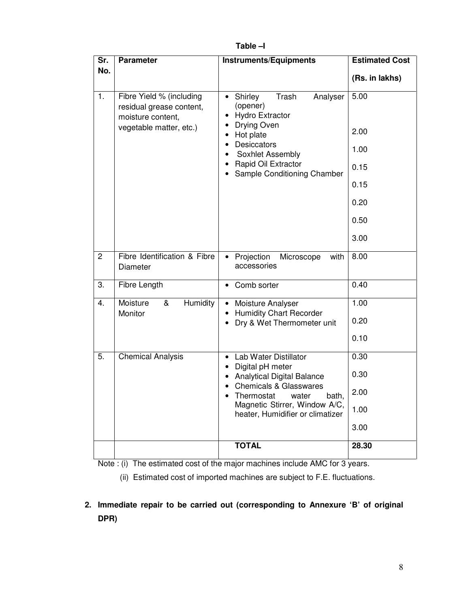| Sr. | <b>Parameter</b>                                                                                     | <b>Instruments/Equipments</b>                                                                                                                                                                                                               | <b>Estimated Cost</b>                                        |
|-----|------------------------------------------------------------------------------------------------------|---------------------------------------------------------------------------------------------------------------------------------------------------------------------------------------------------------------------------------------------|--------------------------------------------------------------|
| No. |                                                                                                      |                                                                                                                                                                                                                                             | (Rs. in lakhs)                                               |
| 1.  | Fibre Yield % (including<br>residual grease content,<br>moisture content,<br>vegetable matter, etc.) | Shirley<br>Trash<br>Analyser<br>$\bullet$<br>(opener)<br><b>Hydro Extractor</b><br>Drying Oven<br>Hot plate<br>$\bullet$<br>Desiccators<br>$\bullet$<br>Soxhlet Assembly<br>$\bullet$<br>Rapid Oil Extractor<br>Sample Conditioning Chamber | 5.00<br>2.00<br>1.00<br>0.15<br>0.15<br>0.20<br>0.50<br>3.00 |
| 2   | Fibre Identification & Fibre<br>Diameter                                                             | Projection<br>Microscope<br>with<br>$\bullet$<br>accessories                                                                                                                                                                                | 8.00                                                         |
| 3.  | Fibre Length                                                                                         | Comb sorter<br>$\bullet$                                                                                                                                                                                                                    | 0.40                                                         |
| 4.  | <b>Humidity</b><br>Moisture<br>&<br>Monitor                                                          | Moisture Analyser<br><b>Humidity Chart Recorder</b>                                                                                                                                                                                         | 1.00                                                         |
|     |                                                                                                      | Dry & Wet Thermometer unit                                                                                                                                                                                                                  | 0.20                                                         |
|     |                                                                                                      |                                                                                                                                                                                                                                             | 0.10                                                         |
| 5.  | <b>Chemical Analysis</b>                                                                             | <b>Lab Water Distillator</b><br>Digital pH meter                                                                                                                                                                                            | 0.30                                                         |
|     |                                                                                                      | <b>Analytical Digital Balance</b>                                                                                                                                                                                                           | 0.30                                                         |
|     |                                                                                                      | <b>Chemicals &amp; Glasswares</b><br>Thermostat water<br>bath.                                                                                                                                                                              | 2.00                                                         |
|     |                                                                                                      | Magnetic Stirrer, Window A/C,<br>heater, Humidifier or climatizer                                                                                                                                                                           | 1.00                                                         |
|     |                                                                                                      |                                                                                                                                                                                                                                             | 3.00                                                         |
|     |                                                                                                      | <b>TOTAL</b>                                                                                                                                                                                                                                | 28.30                                                        |

**Table –I** 

Note : (i) The estimated cost of the major machines include AMC for 3 years.

(ii) Estimated cost of imported machines are subject to F.E. fluctuations.

**2. Immediate repair to be carried out (corresponding to Annexure 'B' of original DPR)**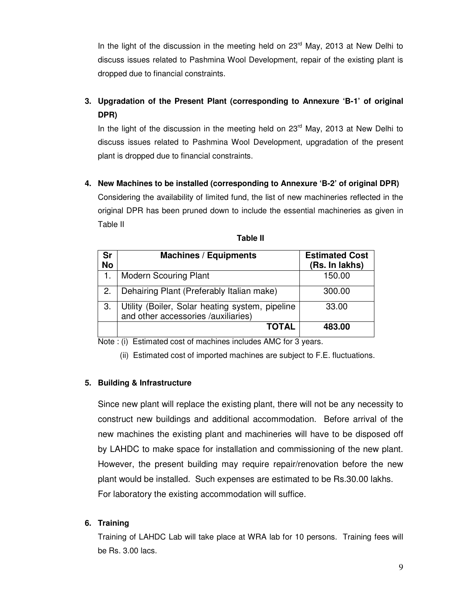In the light of the discussion in the meeting held on  $23<sup>rd</sup>$  May, 2013 at New Delhi to discuss issues related to Pashmina Wool Development, repair of the existing plant is dropped due to financial constraints.

# **3. Upgradation of the Present Plant (corresponding to Annexure 'B-1' of original DPR)**

In the light of the discussion in the meeting held on  $23<sup>rd</sup>$  May, 2013 at New Delhi to discuss issues related to Pashmina Wool Development, upgradation of the present plant is dropped due to financial constraints.

**4. New Machines to be installed (corresponding to Annexure 'B-2' of original DPR)** 

Considering the availability of limited fund, the list of new machineries reflected in the original DPR has been pruned down to include the essential machineries as given in Table II

| Sr<br><b>No</b> | <b>Machines / Equipments</b>                                                           | <b>Estimated Cost</b><br>(Rs. In lakhs) |
|-----------------|----------------------------------------------------------------------------------------|-----------------------------------------|
| 1.              | <b>Modern Scouring Plant</b>                                                           | 150.00                                  |
| 2.              | Dehairing Plant (Preferably Italian make)                                              | 300.00                                  |
| 3.              | Utility (Boiler, Solar heating system, pipeline<br>and other accessories /auxiliaries) | 33.00                                   |
|                 | <b>TOTAL</b>                                                                           | 483.00                                  |

| I<br>۱e<br>10<br>м |  |
|--------------------|--|
|--------------------|--|

Note : (i) Estimated cost of machines includes AMC for 3 years.

(ii) Estimated cost of imported machines are subject to F.E. fluctuations.

#### **5. Building & Infrastructure**

Since new plant will replace the existing plant, there will not be any necessity to construct new buildings and additional accommodation. Before arrival of the new machines the existing plant and machineries will have to be disposed off by LAHDC to make space for installation and commissioning of the new plant. However, the present building may require repair/renovation before the new plant would be installed. Such expenses are estimated to be Rs.30.00 lakhs. For laboratory the existing accommodation will suffice.

#### **6. Training**

Training of LAHDC Lab will take place at WRA lab for 10 persons. Training fees will be Rs. 3.00 lacs.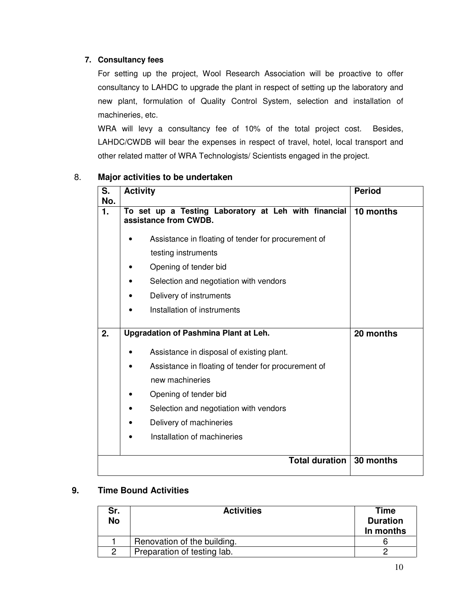### **7. Consultancy fees**

For setting up the project, Wool Research Association will be proactive to offer consultancy to LAHDC to upgrade the plant in respect of setting up the laboratory and new plant, formulation of Quality Control System, selection and installation of machineries, etc.

WRA will levy a consultancy fee of 10% of the total project cost. Besides, LAHDC/CWDB will bear the expenses in respect of travel, hotel, local transport and other related matter of WRA Technologists/ Scientists engaged in the project.

| S.<br>No. | <b>Activity</b>                                                               | <b>Period</b> |
|-----------|-------------------------------------------------------------------------------|---------------|
| 1.        | To set up a Testing Laboratory at Leh with financial<br>assistance from CWDB. | 10 months     |
|           | Assistance in floating of tender for procurement of                           |               |
|           | testing instruments                                                           |               |
|           | Opening of tender bid                                                         |               |
|           | Selection and negotiation with vendors                                        |               |
|           | Delivery of instruments                                                       |               |
|           | Installation of instruments                                                   |               |
| 2.        | Upgradation of Pashmina Plant at Leh.                                         | 20 months     |
|           | Assistance in disposal of existing plant.                                     |               |
|           | Assistance in floating of tender for procurement of                           |               |
|           | new machineries                                                               |               |
|           | Opening of tender bid                                                         |               |
|           | Selection and negotiation with vendors                                        |               |
|           | Delivery of machineries<br>٠                                                  |               |
|           | Installation of machineries                                                   |               |
|           | <b>Total duration</b>                                                         | 30 months     |

## 8. **Major activities to be undertaken**

## **9. Time Bound Activities**

| Sr.<br><b>No</b> | <b>Activities</b>           | Time<br><b>Duration</b><br>In months |
|------------------|-----------------------------|--------------------------------------|
|                  | Renovation of the building. |                                      |
|                  | Preparation of testing lab. |                                      |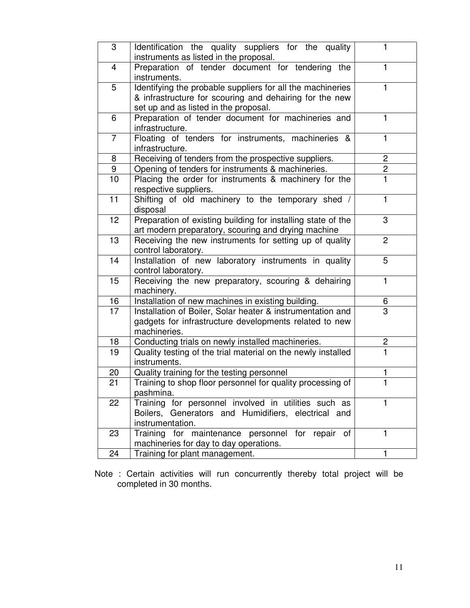| 3                       | Identification the quality suppliers for the quality<br>instruments as listed in the proposal.                                                                 | 1              |
|-------------------------|----------------------------------------------------------------------------------------------------------------------------------------------------------------|----------------|
| $\overline{\mathbf{4}}$ | Preparation of tender document for tendering the<br>instruments.                                                                                               | 1              |
| 5                       | Identifying the probable suppliers for all the machineries<br>& infrastructure for scouring and dehairing for the new<br>set up and as listed in the proposal. | 1              |
| 6                       | Preparation of tender document for machineries and<br>infrastructure.                                                                                          | 1              |
| $\overline{7}$          | Floating of tenders for instruments, machineries &<br>infrastructure.                                                                                          | 1              |
| 8                       | Receiving of tenders from the prospective suppliers.                                                                                                           | $\overline{2}$ |
| 9                       | Opening of tenders for instruments & machineries.                                                                                                              | $rac{2}{1}$    |
| 10                      | Placing the order for instruments & machinery for the<br>respective suppliers.                                                                                 |                |
| 11                      | Shifting of old machinery to the temporary shed /<br>disposal                                                                                                  | 1              |
| 12                      | Preparation of existing building for installing state of the<br>art modern preparatory, scouring and drying machine                                            | 3              |
| 13                      | Receiving the new instruments for setting up of quality<br>control laboratory.                                                                                 | $\overline{2}$ |
| 14                      | Installation of new laboratory instruments in quality<br>control laboratory.                                                                                   | 5              |
| 15                      | Receiving the new preparatory, scouring & dehairing<br>machinery.                                                                                              | 1              |
| 16                      | Installation of new machines in existing building.                                                                                                             | 6              |
| 17                      | Installation of Boiler, Solar heater & instrumentation and<br>gadgets for infrastructure developments related to new<br>machineries.                           | $\overline{3}$ |
| $\overline{18}$         | Conducting trials on newly installed machineries.                                                                                                              | $\mathbf{2}$   |
| 19                      | Quality testing of the trial material on the newly installed<br>instruments.                                                                                   | 1              |
| 20                      | Quality training for the testing personnel                                                                                                                     | 1              |
| 21                      | Training to shop floor personnel for quality processing of<br>pashmina.                                                                                        | 1.             |
| 22                      | Training for personnel involved in utilities such as<br>Boilers, Generators and Humidifiers, electrical and<br>instrumentation.                                | 1              |
| 23                      | Training for maintenance personnel for repair of<br>machineries for day to day operations.                                                                     | $\mathbf{1}$   |
| 24                      | Training for plant management.                                                                                                                                 | 1              |

Note : Certain activities will run concurrently thereby total project will be completed in 30 months.